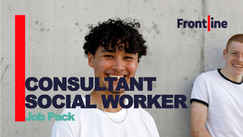## Frontline

## CONSULTANT SOCIAL WORKER-Job Pack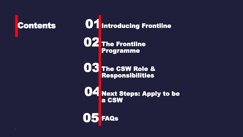

**01** Introducing Frontline

**The Frontline** Programme 02

The CSW Role & Responsibilities 03

Next Steps: Apply to be a CSW 04

FAQs  $\left( 0\right)$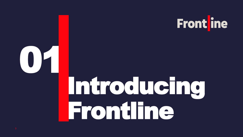

# Introducing Frontline

01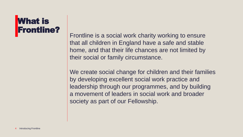### What is Frontline?

Frontline is a social work charity working to ensure that all children in England have a safe and stable home, and that their life chances are not limited by their social or family circumstance.

We create social change for children and their families by developing excellent social work practice and leadership through our programmes, and by building a movement of leaders in social work and broader society as part of our Fellowship.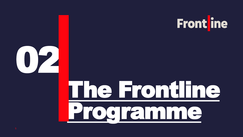



# The Frontline [Programme](https://thefrontline.org.uk/frontline-programme/)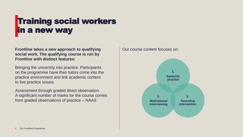## Training social workers in a new way

#### **Frontline takes a new approach to qualifying social work. The qualifying course is run by Frontline with distinct features:**

Bringing the university into practice. Participants on the programme have their tutors come into the practice environment and link academic content to live practice issues.

Assessment through graded direct observation. A significant number of marks for the course comes from graded observations of practice – NAAS

#### Our course content focuses on:

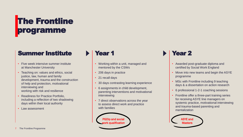## The Frontline programme

### Summer Institute

- Five week intensive summer institute at Manchester University
- Teaching on: values and ethics, social justice, law, human and family development, trauma and the construction of help and protection, motivational interviewing and working with risk and resilience
- Readiness for Practice Portfolio, including a reflection of two shadowing days within their local authority
- Law assessment

### Year 1

- Working within a unit, managed and mentored by the CSWs
- 206 days in practice
- 21 recall days
- 30 days contrasting learning experience
- 6 assignments in child development, parenting interventions and motivational interviewing
- 7 direct observations across the year to assess direct work and practice with families

PGDip and social s qualification

### Year 2

- Awarded post-graduate diploma and certified by Social Work England
- Move into new teams and begin the ASYE programme
- MSc with Frontline including 9 teaching days & a dissertation on action research
- 6 professional 1-2-1 coaching sessions
- Frontline offer a three-part training series for receiving ASYE line managers on systemic practice, motivational interviewing and trauma-based parenting and mentalization

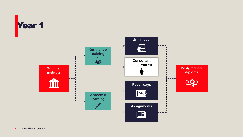

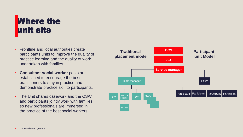## **Where the** unit sits

- Frontline and local authorities create participants units to improve the quality of practice learning and the quality of work undertaken with families
- **Consultant social worker** posts are established to encourage the best practitioners to stay in practice and demonstrate practice skill to participants.
- The Unit shares casework and the CSW and participants jointly work with families so new professionals are immersed in the practice of the best social workers.

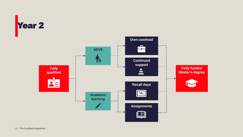

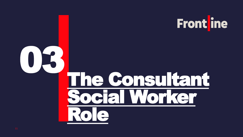

## The Consultant ocial Worker Role 03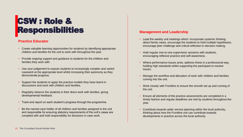### CSW : Role & Responsibilities

#### **Practice Educator**

- Create valuable learning opportunities for students by identifying appropriate children and families for the unit to work with throughout the year.
- Provide ongoing support and guidance to students for the children and families they work with.
- Use your judgement to expose students to increasingly complex and varied casework at the appropriate level whilst increasing their autonomy as they demonstrate progress.
- Support the students to apply the practice models they have learnt in discussions and work with children and families.
- Regularly observe the students in their direct work with families, giving developmental feedback.
- Track and report on each student's progress through the programme.
- Be the named case holder of all children and families assigned to the unit and responsible for ensuring statutory requirements of the unit's cases are complied with and hold responsibility for decisions in case work.

#### **Management and Leadership**

- Lead the weekly unit meetings which: incorporate systemic thinking about family cases, encourage the students to hold multiple hypotheses, encourage peer challenge and critical reflection in decision making.
- Hold regular one-to-one supervision sessions with students, encouraging reflexive practice and self-awareness.
- Where performance issues arise, address these in a professional way, holding high standards whilst supporting the participant to resolve issues.
- Manage the workflow and allocation of work with children and families coming into the unit.
- Work closely with Frontline to ensure the smooth set up and running of the unit.
- Ensure all elements of the practice assessments are completed in a timely fashion and regular deadlines are met by students throughout the year.
- Contribute towards wider service planning within the local authority, thinking about how the Frontline unit can contribute towards developments in practice across the local authority.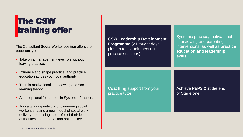## **The CSW** training offer

The Consultant Social Worker position offers the opportunity to:

- Take on a management-level role without leaving practice.
- Influence and shape practice, and practice education across your local authority
- Train in motivational interviewing and social learning theory.
- Attain optional foundation in Systemic Practice.
- Join a growing network of pioneering social workers shaping a new model of social work delivery and raising the profile of their local authorities at a regional and national level.

| <b>CSW Leadership Development</b><br><b>Programme</b> (21 taught days<br>plus up to six unit meeting<br>practice sessions) | Systemic practice, motivational<br>interviewing and parenting<br>interventions, as well as practice<br>education and leadership<br><b>skills</b> |
|----------------------------------------------------------------------------------------------------------------------------|--------------------------------------------------------------------------------------------------------------------------------------------------|
| <b>Coaching</b> support from your                                                                                          | Achieve PEPS 2 at the end                                                                                                                        |
| practice tutor                                                                                                             | of Stage one                                                                                                                                     |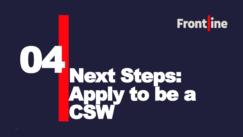

## Next Steps: Apply to be a CSW 04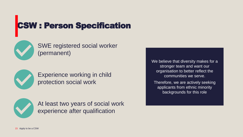## CSW : Person Specification



SWE registered social worker (permanent)



Experience working in child protection social work



At least two years of social work experience after qualification

We believe that diversity makes for a stronger team and want our organisation to better reflect the communities we serve. Therefore, we are actively seeking

applicants from ethnic minority backgrounds for this role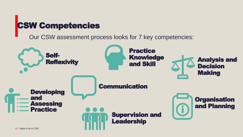## CSW Competencies

Our CSW assessment process looks for 7 key competencies:

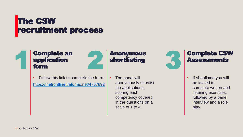### **The CSW** recruitment process



### Complete an application form 1 Complete an 2 Anonymous<br>
1 application<br>
1 form



- Follow this link to complete the form: <https://thefrontline.tfaforms.net/4767892>
- The panel will anonymously shortlist the applications, scoring each competency covered in the questions on a scale of 1 to 4.

Anonymous

shortlisting



### Complete CSW **Assessments**

• If shortlisted you will be invited to complete written and listening exercises, followed by a panel interview and a role play.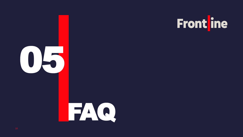